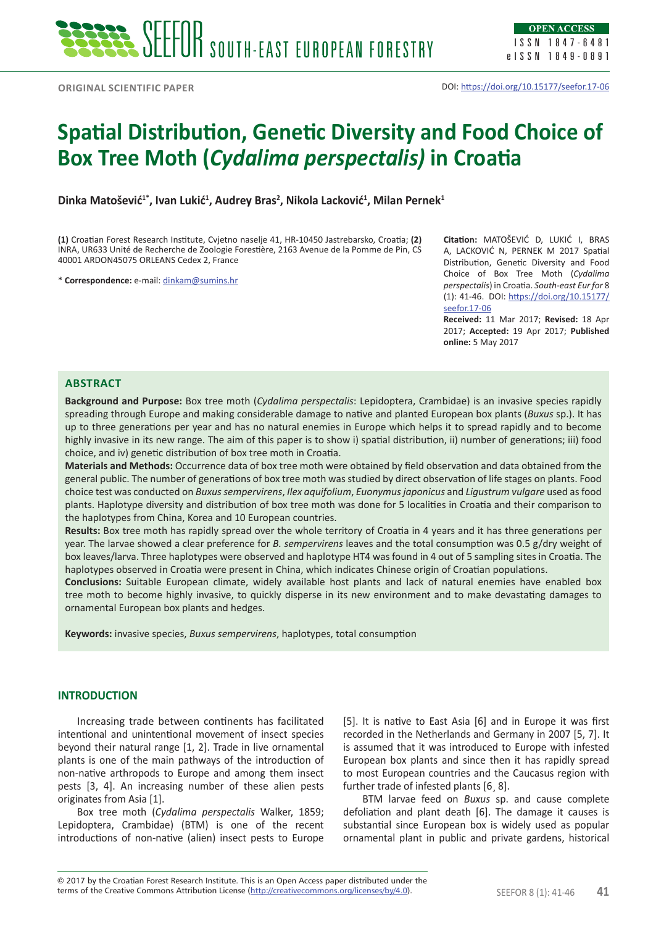# **Spatial Distribution, Genetic Diversity and Food Choice of Box Tree Moth (***Cydalima perspectalis)* **in Croatia**

**Dinka Matošević1\*, Ivan Lukić<sup>1</sup> , Audrey Bras<sup>2</sup> , Nikola Lacković<sup>1</sup> , Milan Pernek<sup>1</sup>**

**(1)** Croatian Forest Research Institute, Cvjetno naselje 41, HR-10450 Jastrebarsko, Croatia; **(2)** INRA, UR633 Unité de Recherche de Zoologie Forestière, 2163 Avenue de la Pomme de Pin, CS 40001 ARDON45075 ORLEANS Cedex 2, France

\* **Correspondence:** e-mail: [dinkam@sumins.hr](mailto:dinkam@sumins.hr)

**Citation:** MATOŠEVIĆ D, LUKIĆ I, BRAS A, LACKOVIĆ N, PERNEK M 2017 Spatial Distribution, Genetic Diversity and Food Choice of Box Tree Moth (*Cydalima perspectalis*) in Croatia. *South-east Eur for* 8 (1): 41-46. DOI: [https://doi.org/10.15177/](https://doi.org/10.15177/seefor.17-06) [seefor.17-06](https://doi.org/10.15177/seefor.17-06)

**Received:** 11 Mar 2017; **Revised:** 18 Apr 2017; **Accepted:** 19 Apr 2017; **Published online:** 5 May 2017

# **Abstract**

**Background and Purpose:** Box tree moth (*Cydalima perspectalis*: Lepidoptera, Crambidae) is an invasive species rapidly spreading through Europe and making considerable damage to native and planted European box plants (*Buxus* sp.). It has up to three generations per year and has no natural enemies in Europe which helps it to spread rapidly and to become highly invasive in its new range. The aim of this paper is to show i) spatial distribution, ii) number of generations; iii) food choice, and iv) genetic distribution of box tree moth in Croatia.

**Materials and Methods:** Occurrence data of box tree moth were obtained by field observation and data obtained from the general public. The number of generations of box tree moth was studied by direct observation of life stages on plants. Food choice test was conducted on *Buxus sempervirens*, *Ilex aquifolium*, *Euonymus japonicus* and *Ligustrum vulgare* used as food plants. Haplotype diversity and distribution of box tree moth was done for 5 localities in Croatia and their comparison to the haplotypes from China, Korea and 10 European countries.

**Results:** Box tree moth has rapidly spread over the whole territory of Croatia in 4 years and it has three generations per year. The larvae showed a clear preference for *B. sempervirens* leaves and the total consumption was 0.5 g/dry weight of box leaves/larva. Three haplotypes were observed and haplotype HT4 was found in 4 out of 5 sampling sites in Croatia. The haplotypes observed in Croatia were present in China, which indicates Chinese origin of Croatian populations.

**Conclusions:** Suitable European climate, widely available host plants and lack of natural enemies have enabled box tree moth to become highly invasive, to quickly disperse in its new environment and to make devastating damages to ornamental European box plants and hedges.

**Keywords:** invasive species, *Buxus sempervirens*, haplotypes, total consumption

# **INTRODUCTION**

Increasing trade between continents has facilitated intentional and unintentional movement of insect species beyond their natural range [1, 2]. Trade in live ornamental plants is one of the main pathways of the introduction of non-native arthropods to Europe and among them insect pests [3, 4]. An increasing number of these alien pests originates from Asia [1].

Box tree moth (*Cydalima perspectalis* Walker, 1859; Lepidoptera, Crambidae) (BTM) is one of the recent introductions of non-native (alien) insect pests to Europe [5]. It is native to East Asia [6] and in Europe it was first recorded in the Netherlands and Germany in 2007 [5, 7]. It is assumed that it was introduced to Europe with infested European box plants and since then it has rapidly spread to most European countries and the Caucasus region with further trade of infested plants [6¸ 8].

BTM larvae feed on *Buxus* sp. and cause complete defoliation and plant death [6]. The damage it causes is substantial since European box is widely used as popular ornamental plant in public and private gardens, historical

terms of the Creative Commons Attribution License (<u>http://creativecommons.org/licenses/by/4.0</u>). SEEFOR 8 (1): 41-46 **41** © 2017 by the Croatian Forest Research Institute. This is an Open Access paper distributed under the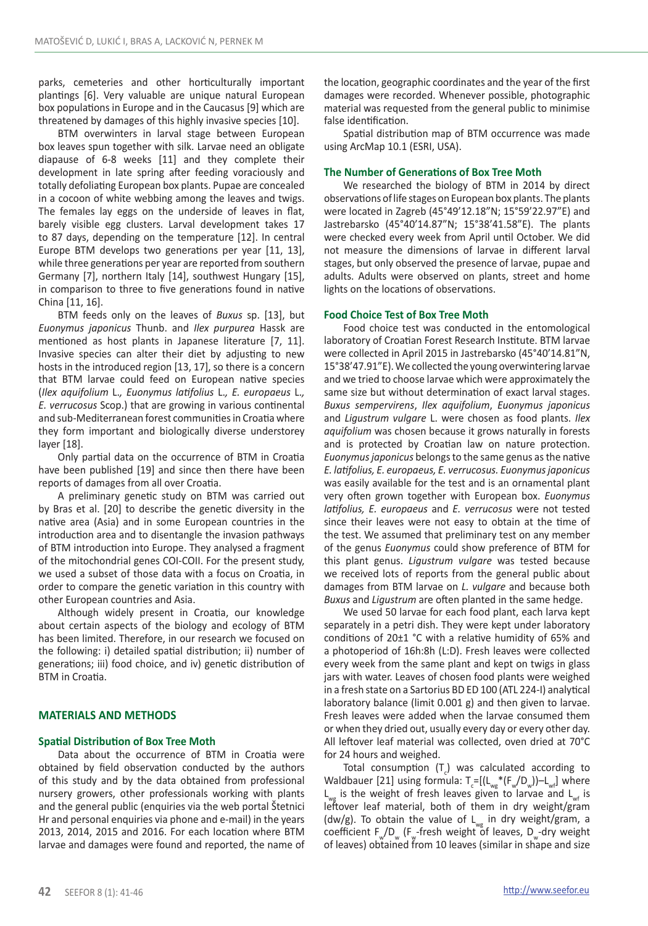parks, cemeteries and other horticulturally important plantings [6]. Very valuable are unique natural European box populations in Europe and in the Caucasus [9] which are threatened by damages of this highly invasive species [10].

BTM overwinters in larval stage between European box leaves spun together with silk. Larvae need an obligate diapause of 6-8 weeks [11] and they complete their development in late spring after feeding voraciously and totally defoliating European box plants. Pupae are concealed in a cocoon of white webbing among the leaves and twigs. The females lay eggs on the underside of leaves in flat, barely visible egg clusters. Larval development takes 17 to 87 days, depending on the temperature [12]. In central Europe BTM develops two generations per year [11, 13], while three generations per year are reported from southern Germany [7], northern Italy [14], southwest Hungary [15], in comparison to three to five generations found in native China [11, 16].

BTM feeds only on the leaves of *Buxus* sp. [13], but *Euonymus japonicus* Thunb. and *Ilex purpurea* Hassk are mentioned as host plants in Japanese literature [7, 11]. Invasive species can alter their diet by adjusting to new hosts in the introduced region [13, 17], so there is a concern that BTM larvae could feed on European native species (*Ilex aquifolium* L.*, Euonymus latifolius* L.*, E. europaeus* L.*, E. verrucosus* Scop.) that are growing in various continental and sub-Mediterranean forest communities in Croatia where they form important and biologically diverse understorey layer [18].

Only partial data on the occurrence of BTM in Croatia have been published [19] and since then there have been reports of damages from all over Croatia.

A preliminary genetic study on BTM was carried out by Bras et al. [20] to describe the genetic diversity in the native area (Asia) and in some European countries in the introduction area and to disentangle the invasion pathways of BTM introduction into Europe. They analysed a fragment of the mitochondrial genes COI-COII. For the present study, we used a subset of those data with a focus on Croatia, in order to compare the genetic variation in this country with other European countries and Asia.

Although widely present in Croatia, our knowledge about certain aspects of the biology and ecology of BTM has been limited. Therefore, in our research we focused on the following: i) detailed spatial distribution; ii) number of generations; iii) food choice, and iv) genetic distribution of BTM in Croatia.

# **MATERIALS AND METHODS**

# **Spatial Distribution of Box Tree Moth**

Data about the occurrence of BTM in Croatia were obtained by field observation conducted by the authors of this study and by the data obtained from professional nursery growers, other professionals working with plants and the general public (enquiries via the web portal Štetnici Hr and personal enquiries via phone and e-mail) in the years 2013, 2014, 2015 and 2016. For each location where BTM larvae and damages were found and reported, the name of the location, geographic coordinates and the year of the first damages were recorded. Whenever possible, photographic material was requested from the general public to minimise false identification.

Spatial distribution map of BTM occurrence was made using ArcMap 10.1 (ESRI, USA).

#### **The Number of Generations of Box Tree Moth**

We researched the biology of BTM in 2014 by direct observations of life stages on European box plants. The plants were located in Zagreb (45°49'12.18"N; 15°59'22.97"E) and Jastrebarsko (45°40'14.87"N; 15°38'41.58"E). The plants were checked every week from April until October. We did not measure the dimensions of larvae in different larval stages, but only observed the presence of larvae, pupae and adults. Adults were observed on plants, street and home lights on the locations of observations.

#### **Food Choice Test of Box Tree Moth**

Food choice test was conducted in the entomological laboratory of Croatian Forest Research Institute. BTM larvae were collected in April 2015 in Jastrebarsko (45°40'14.81"N, 15°38'47.91"E). We collected the young overwintering larvae and we tried to choose larvae which were approximately the same size but without determination of exact larval stages. *Buxus sempervirens*, *Ilex aquifolium*, *Euonymus japonicus* and *Ligustrum vulgare* L. were chosen as food plants. *Ilex aquifolium* was chosen because it grows naturally in forests and is protected by Croatian law on nature protection. *Euonymus japonicus* belongs to the same genus as the native *E. latifolius, E. europaeus, E. verrucosus. Euonymus japonicus*  was easily available for the test and is an ornamental plant very often grown together with European box. *Euonymus latifolius, E. europaeus* and *E. verrucosus* were not tested since their leaves were not easy to obtain at the time of the test. We assumed that preliminary test on any member of the genus *Euonymus* could show preference of BTM for this plant genus. *Ligustrum vulgare* was tested because we received lots of reports from the general public about damages from BTM larvae on *L. vulgare* and because both *Buxus* and *Ligustrum* are often planted in the same hedge.

We used 50 larvae for each food plant, each larva kept separately in a petri dish. They were kept under laboratory conditions of 20±1 °C with a relative humidity of 65% and a photoperiod of 16h:8h (L:D). Fresh leaves were collected every week from the same plant and kept on twigs in glass jars with water. Leaves of chosen food plants were weighed in a fresh state on a Sartorius BD ED 100 (ATL 224-I) analytical laboratory balance (limit 0.001 g) and then given to larvae. Fresh leaves were added when the larvae consumed them or when they dried out, usually every day or every other day. All leftover leaf material was collected, oven dried at 70°C for 24 hours and weighed.

Total consumption  $(T_c)$  was calculated according to Waldbauer [21] using formula:  $T_c=[(L_{wg}*(F_w/D_w))-L_{wf}]$  where  $L_{\mu\nu}$  is the weight of fresh leaves given to larvae and  $L_{\mu\nu}$  is leftover leaf material, both of them in dry weight/gram (dw/g). To obtain the value of  $L_{wg}$  in dry weight/gram, a coefficient  $F_M/D_M$  (F<sub>ur</sub>-fresh weight of leaves, D<sub>ur</sub>-dry weight of leaves) obtained from 10 leaves (similar in shape and size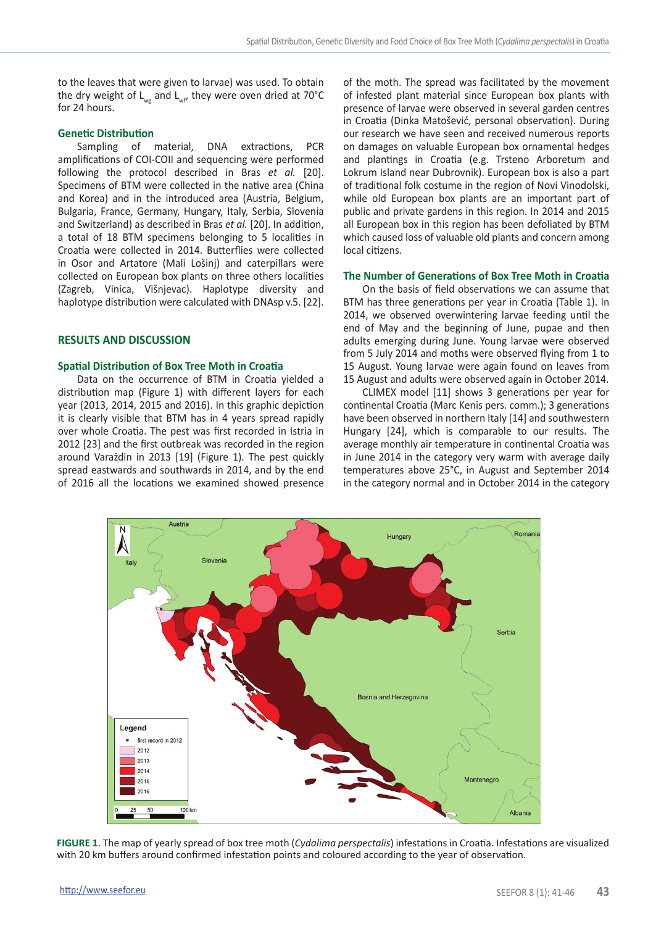to the leaves that were given to larvae) was used. To obtain the dry weight of  $L_{wg}$  and  $L_{wf}$ , they were oven dried at 70°C for 24 hours.

#### **Genetic Distribution**

Sampling of material, DNA extractions, PCR amplifications of COI-COII and sequencing were performed following the protocol described in Bras *et al.* [20]. Specimens of BTM were collected in the native area (China and Korea) and in the introduced area (Austria, Belgium, Bulgaria, France, Germany, Hungary, Italy, Serbia, Slovenia and Switzerland) as described in Bras *et al.* [20]. In addition, a total of 18 BTM specimens belonging to 5 localities in Croatia were collected in 2014. Butterflies were collected in Osor and Artatore (Mali Lošinj) and caterpillars were collected on European box plants on three others localities (Zagreb, Vinica, Višnjevac). Haplotype diversity and haplotype distribution were calculated with DNAsp v.5. [22].

# **RESULTS AND DISCUSSION**

#### **Spatial Distribution of Box Tree Moth in Croatia**

Data on the occurrence of BTM in Croatia yielded a distribution map (Figure 1) with different layers for each year (2013, 2014, 2015 and 2016). In this graphic depiction it is clearly visible that BTM has in 4 years spread rapidly over whole Croatia. The pest was first recorded in Istria in 2012 [23] and the first outbreak was recorded in the region around Varaždin in 2013 [19] (Figure 1). The pest quickly spread eastwards and southwards in 2014, and by the end of 2016 all the locations we examined showed presence of the moth. The spread was facilitated by the movement of infested plant material since European box plants with presence of larvae were observed in several garden centres in Croatia (Dinka Matošević, personal observation). During our research we have seen and received numerous reports on damages on valuable European box ornamental hedges and plantings in Croatia (e.g. Trsteno Arboretum and Lokrum Island near Dubrovnik). European box is also a part of traditional folk costume in the region of Novi Vinodolski, while old European box plants are an important part of public and private gardens in this region. In 2014 and 2015 all European box in this region has been defoliated by BTM which caused loss of valuable old plants and concern among local citizens.

# **The Number of Generations of Box Tree Moth in Croatia**

On the basis of field observations we can assume that BTM has three generations per year in Croatia (Table 1). In 2014, we observed overwintering larvae feeding until the end of May and the beginning of June, pupae and then adults emerging during June. Young larvae were observed from 5 July 2014 and moths were observed flying from 1 to 15 August. Young larvae were again found on leaves from 15 August and adults were observed again in October 2014.

CLIMEX model [11] shows 3 generations per year for continental Croatia (Marc Kenis pers. comm.); 3 generations have been observed in northern Italy [14] and southwestern Hungary [24], which is comparable to our results. The average monthly air temperature in continental Croatia was in June 2014 in the category very warm with average daily temperatures above 25°C, in August and September 2014 in the category normal and in October 2014 in the category



**FIGURE 1**. The map of yearly spread of box tree moth (*Cydalima perspectalis*) infestations in Croatia. Infestations are visualized with 20 km buffers around confirmed infestation points and coloured according to the year of observation.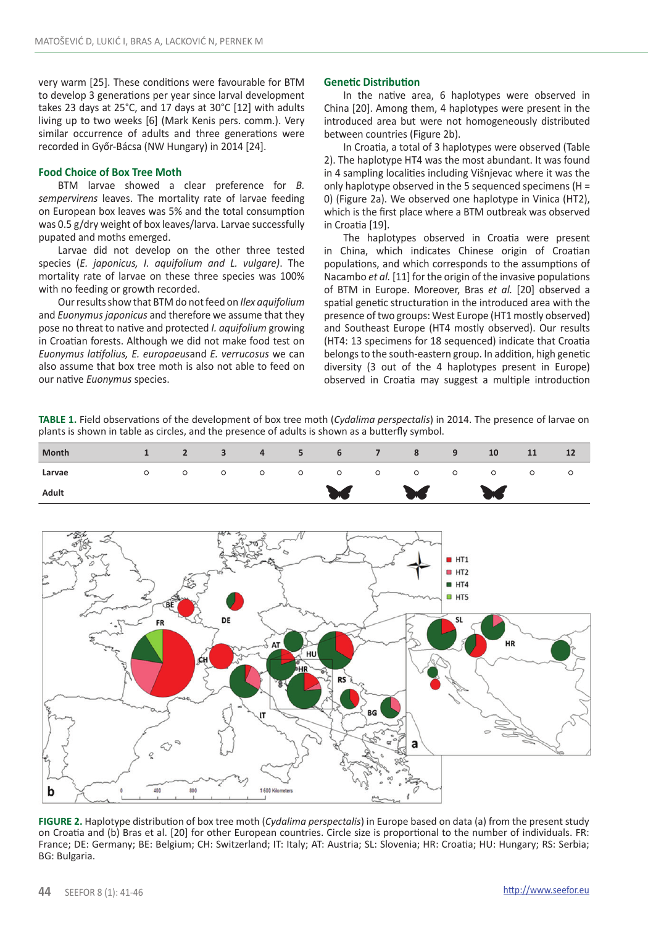very warm [25]. These conditions were favourable for BTM to develop 3 generations per year since larval development takes 23 days at 25°C, and 17 days at 30°C [12] with adults living up to two weeks [6] (Mark Kenis pers. comm.). Very similar occurrence of adults and three generations were recorded in Győr-Bácsa (NW Hungary) in 2014 [24].

#### **Food Choice of Box Tree Moth**

BTM larvae showed a clear preference for *B. sempervirens* leaves. The mortality rate of larvae feeding on European box leaves was 5% and the total consumption was 0.5 g/dry weight of box leaves/larva. Larvae successfully pupated and moths emerged.

Larvae did not develop on the other three tested species (*E. japonicus, I. aquifolium and L. vulgare)*. The mortality rate of larvae on these three species was 100% with no feeding or growth recorded.

Our results show that BTM do not feed on *Ilex aquifolium*  and *Euonymus japonicus* and therefore we assume that they pose no threat to native and protected *I. aquifolium* growing in Croatian forests. Although we did not make food test on *Euonymus latifolius, E. europaeus*and *E. verrucosus* we can also assume that box tree moth is also not able to feed on our native *Euonymus* species.

#### **Genetic Distribution**

In the native area, 6 haplotypes were observed in China [20]. Among them, 4 haplotypes were present in the introduced area but were not homogeneously distributed between countries (Figure 2b).

In Croatia, a total of 3 haplotypes were observed (Table 2). The haplotype HT4 was the most abundant. It was found in 4 sampling localities including Višnjevac where it was the only haplotype observed in the 5 sequenced specimens (H = 0) (Figure 2a). We observed one haplotype in Vinica (HT2), which is the first place where a BTM outbreak was observed in Croatia [19].

The haplotypes observed in Croatia were present in China, which indicates Chinese origin of Croatian populations, and which corresponds to the assumptions of Nacambo *et al.* [11] for the origin of the invasive populations of BTM in Europe. Moreover, Bras *et al.* [20] observed a spatial genetic structuration in the introduced area with the presence of two groups: West Europe (HT1 mostly observed) and Southeast Europe (HT4 mostly observed). Our results (HT4: 13 specimens for 18 sequenced) indicate that Croatia belongs to the south-eastern group. In addition, high genetic diversity (3 out of the 4 haplotypes present in Europe) observed in Croatia may suggest a multiple introduction

**TABLE 1.** Field observations of the development of box tree moth (*Cydalima perspectalis*) in 2014. The presence of larvae on plants is shown in table as circles, and the presence of adults is shown as a butterfly symbol.



**FIGURE 2.** Haplotype distribution of box tree moth (*Cydalima perspectalis*) in Europe based on data (a) from the present study on Croatia and (b) Bras et al. [20] for other European countries. Circle size is proportional to the number of individuals. FR: France; DE: Germany; BE: Belgium; CH: Switzerland; IT: Italy; AT: Austria; SL: Slovenia; HR: Croatia; HU: Hungary; RS: Serbia; BG: Bulgaria.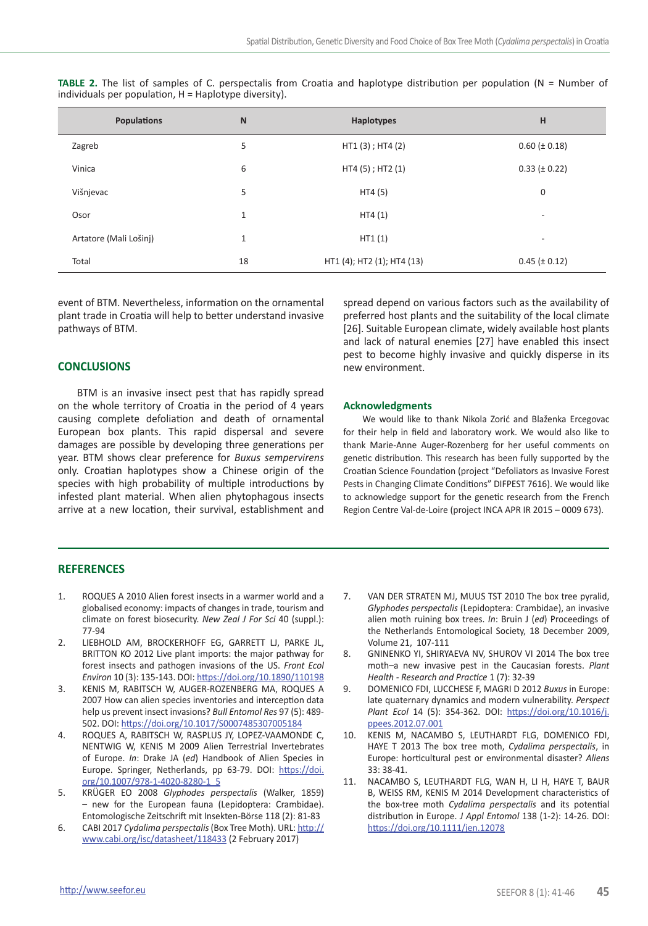| Populations            | $\mathsf{N}$ | Haplotypes                 | н                        |
|------------------------|--------------|----------------------------|--------------------------|
| Zagreb                 | 5            | HT1 (3); HT4 (2)           | $0.60 (\pm 0.18)$        |
| Vinica                 | 6            | HT4 (5); HT2 (1)           | $0.33 (\pm 0.22)$        |
| Višnjevac              | 5            | HT4 (5)                    | 0                        |
| Osor                   | $\mathbf{1}$ | HT4(1)                     | $\overline{\phantom{a}}$ |
| Artatore (Mali Lošinj) | $\mathbf{1}$ | HT1(1)                     | $\overline{\phantom{a}}$ |
| Total                  | 18           | HT1 (4); HT2 (1); HT4 (13) | $0.45 (\pm 0.12)$        |

**TABLE 2.** The list of samples of C. perspectalis from Croatia and haplotype distribution per population (N = Number of  $individuals$  per population,  $H = Haplotype$  diversity).

event of BTM. Nevertheless, information on the ornamental plant trade in Croatia will help to better understand invasive pathways of BTM.

# **CONCLUSIONS**

BTM is an invasive insect pest that has rapidly spread on the whole territory of Croatia in the period of 4 years causing complete defoliation and death of ornamental European box plants. This rapid dispersal and severe damages are possible by developing three generations per year. BTM shows clear preference for *Buxus sempervirens*  only. Croatian haplotypes show a Chinese origin of the species with high probability of multiple introductions by infested plant material. When alien phytophagous insects arrive at a new location, their survival, establishment and

spread depend on various factors such as the availability of preferred host plants and the suitability of the local climate [26]. Suitable European climate, widely available host plants and lack of natural enemies [27] have enabled this insect pest to become highly invasive and quickly disperse in its new environment.

#### **Acknowledgments**

We would like to thank Nikola Zorić and Blaženka Ercegovac for their help in field and laboratory work. We would also like to thank Marie-Anne Auger-Rozenberg for her useful comments on genetic distribution. This research has been fully supported by the Croatian Science Foundation (project "Defoliators as Invasive Forest Pests in Changing Climate Conditions" DIFPEST 7616). We would like to acknowledge support for the genetic research from the French Region Centre Val-de-Loire (project INCA APR IR 2015 – 0009 673).

#### **REFERENCES**

- 1. ROQUES A 2010 Alien forest insects in a warmer world and a globalised economy: impacts of changes in trade, tourism and climate on forest biosecurity. *New Zeal J For Sci* 40 (suppl.): 77-94
- 2. LIEBHOLD AM, BROCKERHOFF EG, GARRETT LJ, PARKE JL, BRITTON KO 2012 Live plant imports: the major pathway for forest insects and pathogen invasions of the US. *Front Ecol Environ* 10 (3): 135-143. DOI: <https://doi.org/10.1890/110198>
- 3. KENIS M, RABITSCH W, AUGER-ROZENBERG MA, ROQUES A 2007 How can alien species inventories and interception data help us prevent insect invasions? *Bull Entomol Res* 97 (5): 489- 502. DOI:<https://doi.org/10.1017/S0007485307005184>
- 4. ROQUES A, RABITSCH W, RASPLUS JY, LOPEZ-VAAMONDE C, NENTWIG W, KENIS M 2009 Alien Terrestrial Invertebrates of Europe. *In*: Drake JA (*ed*) Handbook of Alien Species in Europe. Springer, Netherlands, pp 63-79. DOI: [https://doi.](https://doi.org/10.1007/978-1-4020-8280-1_5) [org/10.1007/978-1-4020-8280-1\\_5](https://doi.org/10.1007/978-1-4020-8280-1_5)
- 5. KRÜGER EO 2008 *Glyphodes perspectalis* (Walker, 1859) – new for the European fauna (Lepidoptera: Crambidae). Entomologische Zeitschrift mit Insekten-Börse 118 (2): 81-83
- 6. CABI 2017 *Cydalima perspectalis* (Box Tree Moth). URL: [http://](http://www.cabi.org/isc/datasheet/118433) [www.cabi.org/isc/datasheet/118433](http://www.cabi.org/isc/datasheet/118433) (2 February 2017)
- 7. VAN DER STRATEN MJ, MUUS TST 2010 The box tree pyralid, *Glyphodes perspectalis* (Lepidoptera: Crambidae), an invasive alien moth ruining box trees. *In*: Bruin J (*ed*) Proceedings of the Netherlands Entomological Society, 18 December 2009, Volume 21, 107-111
- 8. GNINENKO YI, SHIRYAEVA NV, SHUROV VI 2014 The box tree moth–a new invasive pest in the Caucasian forests. *Plant Health - Research and Practice* 1 (7): 32-39
- 9. DOMENICO FDI, LUCCHESE F, MAGRI D 2012 *Buxus* in Europe: late quaternary dynamics and modern vulnerability. *Perspect Plant Ecol* 14 (5): 354-362. DOI: [https://doi.org/10.1016/j.](https://doi.org/10.1016/j.ppees.2012.07.001) [ppees.2012.07.001](https://doi.org/10.1016/j.ppees.2012.07.001)
- 10. KENIS M, NACAMBO S, LEUTHARDT FLG, DOMENICO FDI, HAYE T 2013 The box tree moth, *Cydalima perspectalis*, in Europe: horticultural pest or environmental disaster? *Aliens* 33: 38-41.
- 11. NACAMBO S, LEUTHARDT FLG, WAN H, LI H, HAYE T, BAUR B, WEISS RM, KENIS M 2014 Development characteristics of the box-tree moth *Cydalima perspectalis* and its potential distribution in Europe. *J Appl Entomol* 138 (1-2): 14-26. DOI: <https://doi.org/10.1111/jen.12078>